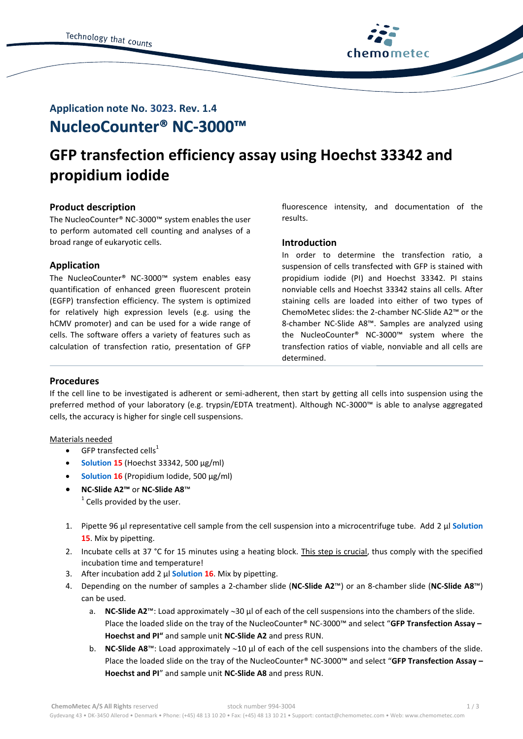

## **NucleoCounter® NC-3000™ Application note No. 3023. Rev. 1.4**

# **GFP transfection efficiency assay using Hoechst 33342 and propidium iodide**

## **Product description**

The NucleoCounter® NC-3000™ system enables the user to perform automated cell counting and analyses of a broad range of eukaryotic cells.

## **Application**

The NucleoCounter® NC-3000™ system enables easy quantification of enhanced green fluorescent protein (EGFP) transfection efficiency. The system is optimized for relatively high expression levels (e.g. using the hCMV promoter) and can be used for a wide range of cells. The software offers a variety of features such as calculation of transfection ratio, presentation of GFP

fluorescence intensity, and documentation of the results.

## **Introduction**

In order to determine the transfection ratio, a suspension of cells transfected with GFP is stained with propidium iodide (PI) and Hoechst 33342. PI stains nonviable cells and Hoechst 33342 stains all cells. After staining cells are loaded into either of two types of ChemoMetec slides: the 2-chamber NC-Slide A2™ or the 8-chamber NC-Slide A8™. Samples are analyzed using the NucleoCounter® NC-3000™ system where the transfection ratios of viable, nonviable and all cells are determined.

## **Procedures**

If the cell line to be investigated is adherent or semi-adherent, then start by getting all cells into suspension using the preferred method of your laboratory (e.g. trypsin/EDTA treatment). Although NC-3000™ is able to analyse aggregated cells, the accuracy is higher for single cell suspensions.

## Materials needed

- $\bullet$  GFP transfected cells<sup>1</sup>
- **Solution 15** (Hoechst 33342, 500 µg/ml)
- **Solution 16** (Propidium Iodide, 500 µg/ml)
- **NC-Slide A2™** or **NC-Slide A8**™  $1$  Cells provided by the user.
- 1. Pipette 96 μl representative cell sample from the cell suspension into a microcentrifuge tube. Add 2 μl **Solution 15**. Mix by pipetting.
- 2. Incubate cells at 37 °C for 15 minutes using a heating block. This step is crucial, thus comply with the specified incubation time and temperature!
- 3. After incubation add 2 μl **Solution 16**. Mix by pipetting.
- 4. Depending on the number of samples a 2-chamber slide (**NC-Slide A2**™) or an 8-chamber slide (**NC-Slide A8**™) can be used.
	- a. **NC-Slide A2**™: Load approximately ~30 µl of each of the cell suspensions into the chambers of the slide. Place the loaded slide on the tray of the NucleoCounter® NC-3000™ and select "**GFP Transfection Assay – Hoechst and PI"** and sample unit **NC-Slide A2** and press RUN.
	- b. **NC-Slide A8**™: Load approximately ~10 µl of each of the cell suspensions into the chambers of the slide. Place the loaded slide on the tray of the NucleoCounter® NC-3000™ and select "**GFP Transfection Assay – Hoechst and PI**" and sample unit **NC-Slide A8** and press RUN.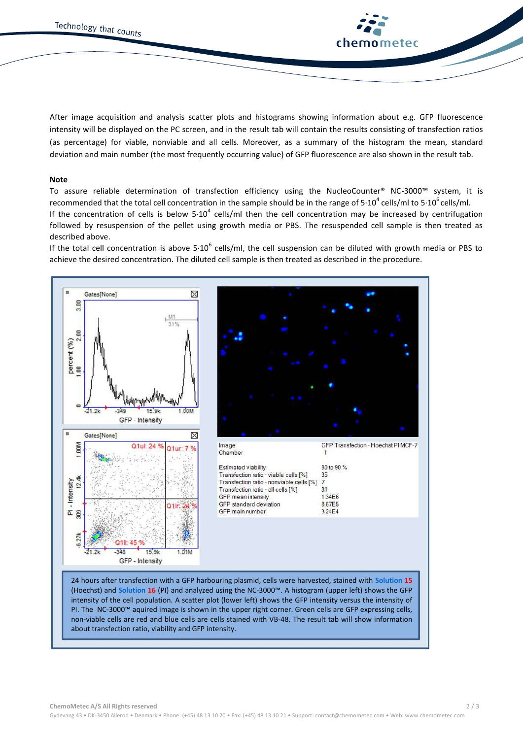

After image acquisition and analysis scatter plots and histograms showing information about e.g. GFP fluorescence intensity will be displayed on the PC screen, and in the result tab will contain the results consisting of transfection ratios (as percentage) for viable, nonviable and all cells. Moreover, as a summary of the histogram the mean, standard deviation and main number (the most frequently occurring value) of GFP fluorescence are also shown in the result tab.

#### **Note**

To assure reliable determination of transfection efficiency using the NucleoCounter® NC-3000™ system, it is recommended that the total cell concentration in the sample should be in the range of 5∙10<sup>4</sup> cells/ml to 5∙10<sup>6</sup> cells/ml. If the concentration of cells is below 5⋅10<sup>4</sup> cells/ml then the cell concentration may be increased by centrifugation followed by resuspension of the pellet using growth media or PBS. The resuspended cell sample is then treated as described above.

If the total cell concentration is above 5 $\cdot 10^6$  cells/ml, the cell suspension can be diluted with growth media or PBS to achieve the desired concentration. The diluted cell sample is then treated as described in the procedure.